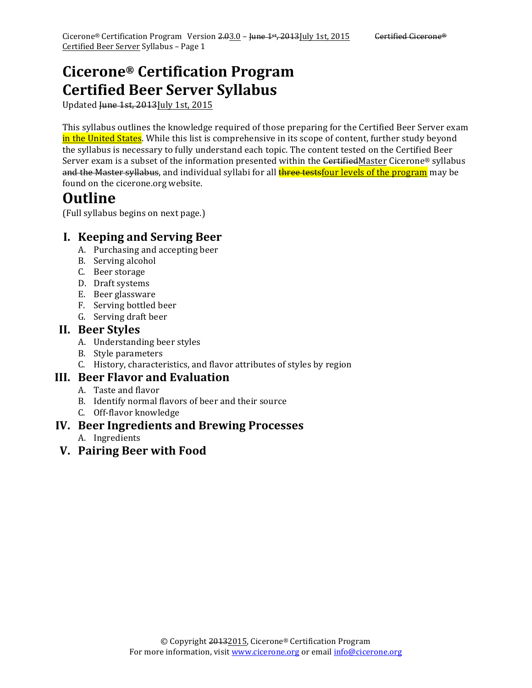## **Cicerone® Certification Program Certified Beer Server Syllabus**

Updated Hune 1st, 2013July 1st, 2015

This syllabus outlines the knowledge required of those preparing for the Certified Beer Server exam in the United States. While this list is comprehensive in its scope of content, further study beyond the syllabus is necessary to fully understand each topic. The content tested on the Certified Beer Server exam is a subset of the information presented within the CertifiedMaster Cicerone® syllabus and the Master syllabus, and individual syllabi for all **three testsfour levels of the program** may be found on the cicerone.org website.

## **Outline**

(Full syllabus begins on next page.)

## **I. Keeping and Serving Beer**

- A. Purchasing and accepting beer
- B. Serving alcohol
- C. Beer storage
- D. Draft systems
- E. Beer glassware
- F. Serving bottled beer
- G. Serving draft beer

#### **II. Beer Styles**

- A. Understanding beer styles
- B. Style parameters
- C. History, characteristics, and flavor attributes of styles by region

#### **III. Beer Flavor and Evaluation**

- A. Taste and flavor
- B. Identify normal flavors of beer and their source
- C. Off-flavor knowledge

#### **IV. Beer Ingredients and Brewing Processes**

- A. Ingredients
- **V. Pairing Beer with Food**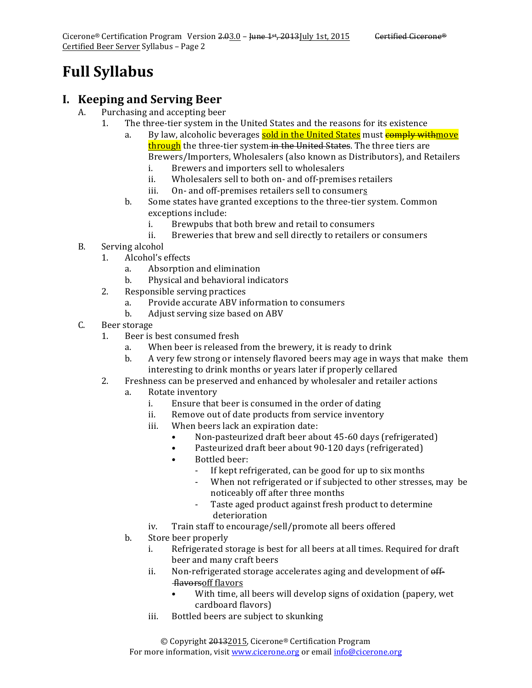# **Full Syllabus**

#### **I. Keeping and Serving Beer**

- A. Purchasing and accepting beer
	- 1. The three-tier system in the United States and the reasons for its existence
		- a. By law, alcoholic beverages sold in the United States must comply withmove through the three-tier system in the United States. The three tiers are Brewers/Importers, Wholesalers (also known as Distributors), and Retailers
			- i. Brewers and importers sell to wholesalers
			- ii. Wholesalers sell to both on- and off-premises retailers
			- iii. On- and off-premises retailers sell to consumers
		- b. Some states have granted exceptions to the three-tier system. Common exceptions include:
			- i. Brewpubs that both brew and retail to consumers
			- ii. Breweries that brew and sell directly to retailers or consumers
- B. Serving alcohol
	- 1. Alcohol's effects
		- a. Absorption and elimination
		- b. Physical and behavioral indicators
	- 2. Responsible serving practices
		- a. Provide accurate ABV information to consumers
		- b. Adjust serving size based on ABV
- C. Beer storage
	- 1. Beer is best consumed fresh
		- a. When beer is released from the brewery, it is ready to drink
		- b. A very few strong or intensely flavored beers may age in ways that make them interesting to drink months or years later if properly cellared
	- 2. Freshness can be preserved and enhanced by wholesaler and retailer actions
		- a. Rotate inventory
			- i. Ensure that beer is consumed in the order of dating
			- ii. Remove out of date products from service inventory
			- iii. When beers lack an expiration date:
				- Non-pasteurized draft beer about 45-60 days (refrigerated)
				- Pasteurized draft beer about 90-120 days (refrigerated)
				- Bottled beer:
					- If kept refrigerated, can be good for up to six months
					- When not refrigerated or if subjected to other stresses, may be noticeably off after three months
					- Taste aged product against fresh product to determine deterioration
			- iv. Train staff to encourage/sell/promote all beers offered
		- b. Store beer properly
			- i. Refrigerated storage is best for all beers at all times. Required for draft beer and many craft beers
			- ii. Non-refrigerated storage accelerates aging and development of  $\theta$ ffflavorsoff flavors
				- With time, all beers will develop signs of oxidation (papery, wet cardboard flavors)
			- iii. Bottled beers are subject to skunking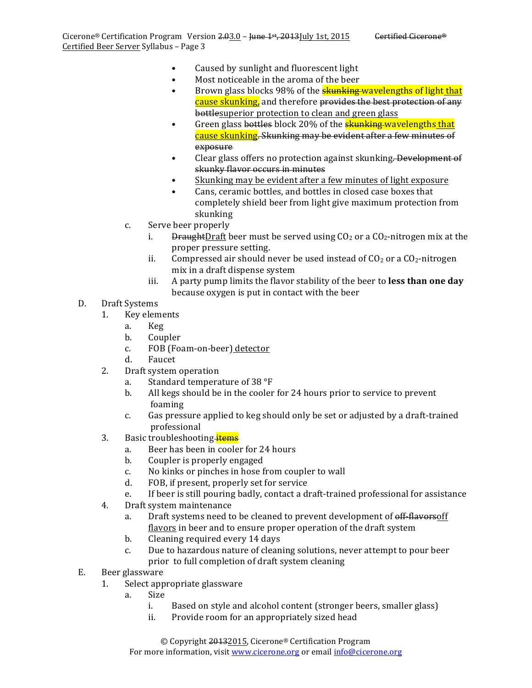- Caused by sunlight and fluorescent light
- Most noticeable in the aroma of the beer
- Brown glass blocks 98% of the **skunking wavelengths of light that** cause skunking, and therefore provides the best protection of any bottlesuperior protection to clean and green glass
- Green glass bottles block 20% of the **skunking wavelengths that** cause skunking. Skunking may be evident after a few minutes of exposure
- Clear glass offers no protection against skunking. Development of skunky flavor occurs in minutes
- Skunking may be evident after a few minutes of light exposure
- Cans, ceramic bottles, and bottles in closed case boxes that completely shield beer from light give maximum protection from skunking
- c. Serve beer properly
	- i. DraughtDraft beer must be served using  $CO<sub>2</sub>$  or a  $CO<sub>2</sub>$ -nitrogen mix at the proper pressure setting.
	- ii. Compressed air should never be used instead of  $CO<sub>2</sub>$  or a  $CO<sub>2</sub>$ -nitrogen mix in a draft dispense system
	- iii. A party pump limits the flavor stability of the beer to **less than one day** because oxygen is put in contact with the beer
- D. Draft Systems
	- 1. Key elements
		- a. Keg
		- b. Coupler
		- c. FOB (Foam-on-beer) detector
		- d. Faucet
	- 2. Draft system operation
		- a. Standard temperature of 38 $\degree$ F
		- b. All kegs should be in the cooler for 24 hours prior to service to prevent foaming
		- c. Gas pressure applied to keg should only be set or adjusted by a draft-trained professional
	- 3. Basic troubleshooting-items
		- a. Beer has been in cooler for 24 hours
		- b. Coupler is properly engaged
		- c. No kinks or pinches in hose from coupler to wall
		- d. FOB, if present, properly set for service
		- e. If beer is still pouring badly, contact a draft-trained professional for assistance
	- 4. Draft system maintenance
		- a. Draft systems need to be cleaned to prevent development of off-flavorsoff flavors in beer and to ensure proper operation of the draft system
		- b. Cleaning required every 14 days
		- c. Due to hazardous nature of cleaning solutions, never attempt to pour beer prior to full completion of draft system cleaning
- E. Beer glassware
	- 1. Select appropriate glassware
		- a. Size
			- i. Based on style and alcohol content (stronger beers, smaller glass)
			- ii. Provide room for an appropriately sized head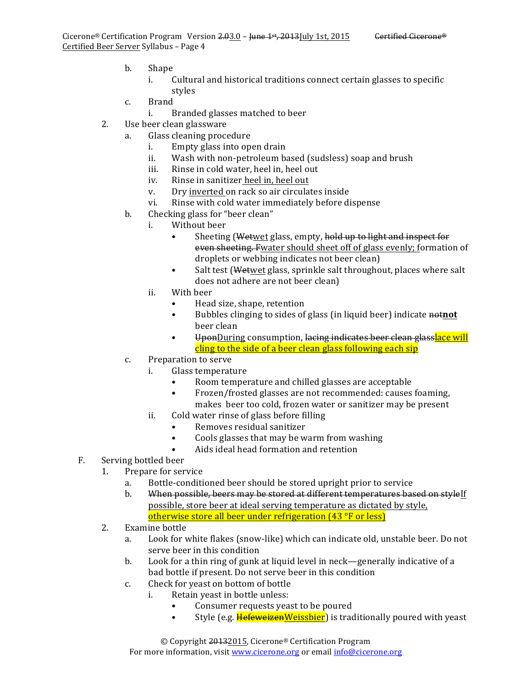- b. Shape
	- i. Cultural and historical traditions connect certain glasses to specific styles
- c. Brand
	- i. Branded glasses matched to beer
- 2. Use beer clean glassware
	- a. Glass cleaning procedure
		- i. Empty glass into open drain
		- ii. Wash with non-petroleum based (sudsless) soap and brush
		- iii. Rinse in cold water, heel in, heel out
		- iv. Rinse in sanitizer heel in, heel out
		- v. Dry inverted on rack so air circulates inside
		- vi. Rinse with cold water immediately before dispense
	- b. Checking glass for "beer clean"
		- i. Without beer
			- Sheeting (Wetwet glass, empty, hold up to light and inspect for even sheeting. Fwater should sheet off of glass evenly; formation of droplets or webbing indicates not beer clean)
			- Salt test (Wetwet glass, sprinkle salt throughout, places where salt does not adhere are not beer clean)
		- ii. With beer
			- Head size, shape, retention
			- Bubbles clinging to sides of glass (in liquid beer) indicate **nothing** beer clean
			- UponDuring consumption, lacing indicates beer clean glasslace will cling to the side of a beer clean glass following each sip
	- c. Preparation to serve
		- i. Glass temperature
			- Room temperature and chilled glasses are acceptable
				- Frozen/frosted glasses are not recommended: causes foaming, makes beer too cold, frozen water or sanitizer may be present
		- ii. Cold water rinse of glass before filling
			- Removes residual sanitizer
			- Cools glasses that may be warm from washing
			- Aids ideal head formation and retention

#### F. Serving bottled beer

- 1. Prepare for service
	- a. Bottle-conditioned beer should be stored upright prior to service
	- b. When possible, beers may be stored at different temperatures based on styleIf possible, store beer at ideal serving temperature as dictated by style, otherwise store all beer under refrigeration  $(43 °F)$  or less)
- 2. Examine bottle
	- a. Look for white flakes (snow-like) which can indicate old, unstable beer. Do not serve beer in this condition
	- b. Look for a thin ring of gunk at liquid level in neck—generally indicative of a bad bottle if present. Do not serve beer in this condition
	- c. Check for yeast on bottom of bottle
		- i. Retain yeast in bottle unless:
			- Consumer requests yeast to be poured
			- Style (e.g. **HefeweizenWeissbier**) is traditionally poured with yeast

© Copyright 20132015, Cicerone® Certification Program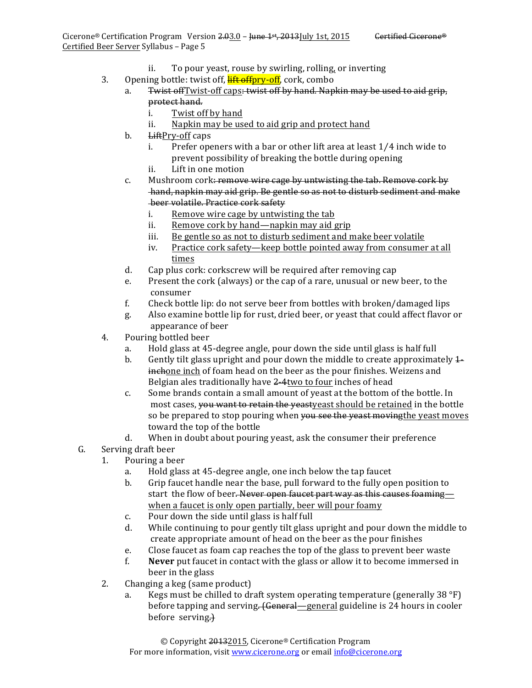- ii. To pour yeast, rouse by swirling, rolling, or inverting
- 3. Opening bottle: twist off, **lift offpry-off**, cork, combo
	- a. Twist off I wist-off caps: twist off by hand. Napkin may be used to aid grip, protect hand.
		- i. Twist off by hand
		- ii. Napkin may be used to aid grip and protect hand
		- b. LiftPry-off caps
			- i. Prefer openers with a bar or other lift area at least 1/4 inch wide to prevent possibility of breaking the bottle during opening
			- ii. Lift in one motion
		- c. Mushroom cork: remove wire cage by untwisting the tab. Remove cork by hand, napkin may aid grip. Be gentle so as not to disturb sediment and make beer volatile. Practice cork safety
			- i. Remove wire cage by untwisting the tab
			- ii. Remove cork by hand—napkin may aid grip
			- iii. Be gentle so as not to disturb sediment and make beer volatile
			- iv. Practice cork safety—keep bottle pointed away from consumer at all times
		- d. Cap plus cork: corkscrew will be required after removing cap
		- e. Present the cork (always) or the cap of a rare, unusual or new beer, to the consumer
		- f. Check bottle lip: do not serve beer from bottles with broken/damaged lips
		- g. Also examine bottle lip for rust, dried beer, or yeast that could affect flavor or appearance of beer
- 4. Pouring bottled beer
	- a. Hold glass at 45-degree angle, pour down the side until glass is half full
	- b. Gently tilt glass upright and pour down the middle to create approximately  $1$ inchone inch of foam head on the beer as the pour finishes. Weizens and Belgian ales traditionally have 2-4two to four inches of head
	- c. Some brands contain a small amount of yeast at the bottom of the bottle. In most cases, you want to retain the yeastyeast should be retained in the bottle so be prepared to stop pouring when you see the yeast moving the yeast moves toward the top of the bottle
	- d. When in doubt about pouring yeast, ask the consumer their preference
- G. Serving draft beer
	- 1. Pouring a beer
		- a. Hold glass at 45-degree angle, one inch below the tap faucet
		- b. Grip faucet handle near the base, pull forward to the fully open position to start the flow of beer. Never open faucet part way as this causes foaming when a faucet is only open partially, beer will pour foamy
		- c. Pour down the side until glass is half full
		- d. While continuing to pour gently tilt glass upright and pour down the middle to create appropriate amount of head on the beer as the pour finishes
		- e. Close faucet as foam cap reaches the top of the glass to prevent beer waste
		- f. **Never** put faucet in contact with the glass or allow it to become immersed in beer in the glass
	- 2. Changing a keg (same product)
		- a. Kegs must be chilled to draft system operating temperature (generally 38  $\degree$ F) before tapping and serving<del>. (General</del>—general guideline is 24 hours in cooler before serving.)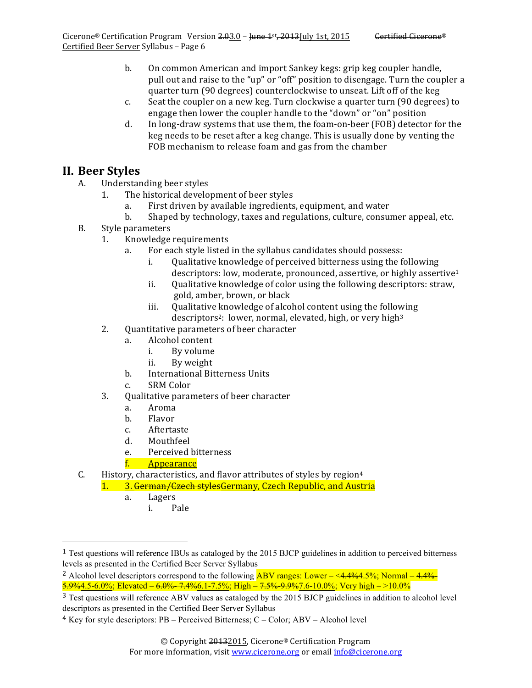- b. On common American and import Sankey kegs: grip keg coupler handle, pull out and raise to the "up" or "off" position to disengage. Turn the coupler a quarter turn (90 degrees) counterclockwise to unseat. Lift off of the keg
- c. Seat the coupler on a new keg. Turn clockwise a quarter turn (90 degrees) to engage then lower the coupler handle to the "down" or "on" position
- d. In long-draw systems that use them, the foam-on-beer (FOB) detector for the keg needs to be reset after a keg change. This is usually done by venting the FOB mechanism to release foam and gas from the chamber

#### **II. Beer Styles**

- A. Understanding beer styles
	- 1. The historical development of beer styles
		- a. First driven by available ingredients, equipment, and water
		- b. Shaped by technology, taxes and regulations, culture, consumer appeal, etc.
- B. Style parameters
	- 1. Knowledge requirements
		- a. For each style listed in the syllabus candidates should possess:
			- i. Qualitative knowledge of perceived bitterness using the following descriptors: low, moderate, pronounced, assertive, or highly assertive<sup>1</sup>
			- ii. Qualitative knowledge of color using the following descriptors: straw, gold, amber, brown, or black
			- iii. Oualitative knowledge of alcohol content using the following descriptors<sup>2</sup>: lower, normal, elevated, high, or very high<sup>3</sup>
	- 2. Quantitative parameters of beer character
		- a. Alcohol content
			- i. By volume
			- ii. By weight
		- b. International Bitterness Units
		- c. SRM Color
	- 3. Qualitative parameters of beer character
		- a. Aroma
		- b. Flavor
		- c. Aftertaste
		- d. Mouthfeel
		- e. Perceived bitterness
		- f. Appearance
- C. History, characteristics, and flavor attributes of styles by region<sup>4</sup>
	- 1. 3. German/Czech stylesGermany, Czech Republic, and Austria
		- a. Lagers

 

i. Pale

<sup>&</sup>lt;sup>1</sup> Test questions will reference IBUs as cataloged by the 2015 BJCP guidelines in addition to perceived bitterness levels as presented in the Certified Beer Server Syllabus

<sup>&</sup>lt;sup>2</sup> Alcohol level descriptors correspond to the following **ABV** ranges: Lower  $-\leq 4.4\%4.5\%$ ; Normal  $-4.4\%$  $5.9%4.5-6.0%$ ; Elevated –  $6.0%$ -7.4% $6.1$ -7.5%; High – 7.5% $9%7.6-10.0%$ ; Very high –  $>10.0%$ 

<sup>&</sup>lt;sup>3</sup> Test questions will reference ABV values as cataloged by the 2015 BJCP guidelines in addition to alcohol level descriptors as presented in the Certified Beer Server Syllabus

<sup>4</sup> Key for style descriptors: PB – Perceived Bitterness; C – Color; ABV – Alcohol level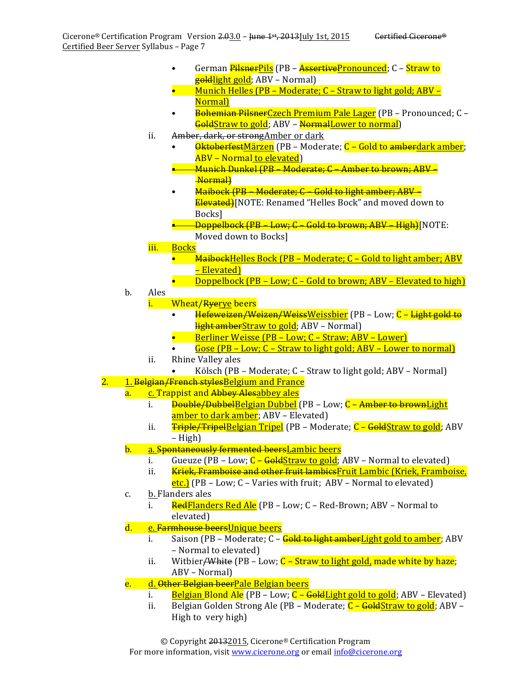- German *PilsnerPils* (PB AssertivePronounced; C Straw to goldlight gold; ABV – Normal)
- Munich Helles (PB Moderate;  $C$  Straw to light gold; ABV Normal)
- Bohemian PilsnerCzech Premium Pale Lager (PB Pronounced; C GoldStraw to gold; ABV – NormalLower to normal)
- ii. Amber, dark, or strong Amber or dark
	- **OktoberfestMärzen** (PB Moderate; C Gold to amberdark amber; ABV - Normal to elevated)
	- Munich Dunkel (PB Moderate; C Amber to brown; ABV Normal)
	- Maibock (PB Moderate; C Gold to light amber; ABV Elevated)[NOTE: Renamed "Helles Bock" and moved down to Bocks]
	- **-Doppelbock (PB Low; C Gold to brown; ABV High)**[NOTE:
		- Moved down to Bocks]
- iii. Bocks
	- $\overline{0}$  Maibock Helles Bock (PB Moderate; C Gold to light amber; ABV – Elevated)
	- **Doppelbock** (PB Low;  $C$  Gold to brown; ABV Elevated to high)
- b. Ales
	- i. Wheat/Ryerye beers
		- Hefeweizen/Weizen/WeissWeissbier (PB Low; C Light gold to light amberStraw to gold; ABV – Normal)
		- Berliner Weisse  $(PB Low: C Straw: ABV Lower)$
		- Gose  $(PB Low; C Straw to light gold; ABV Lower to normal)$
	- ii. Rhine Valley ales
	- Kölsch (PB Moderate; C Straw to light gold; ABV Normal)
- 2. 1. Belgian/French stylesBelgium and France
	- a. c. Trappist and Abbey Alesabbey ales
		- i. <del>Double/Dubbel</del>Belgian Dubbel (PB Low; C Amber to brownLight amber to dark amber; ABV – Elevated)
		- ii. Triple/TripelBelgian Tripel (PB Moderate; C GoldStraw to gold; ABV – High)
		- b. a. Spontaneously fermented beersLambic beers
			- i. Gueuze  $(PB Low; C GoldStraw to gold; ABV Normal to elevated)$
			- ii. Kriek, Framboise and other fruit lambicsFruit Lambic (Kriek, Framboise, etc.) (PB – Low; C – Varies with fruit; ABV – Normal to elevated)
	- c. b. Flanders ales
		- i. RedFlanders Red Ale (PB Low; C Red-Brown; ABV Normal to elevated)
	- d. e. <del>Farmhouse beers</del>Unique beers
		- i. Saison (PB Moderate; C <del>Gold to light amber</del>Light gold to amber; ABV – Normal to elevated)
		- ii. Witbier<del>/White</del> (PB Low;  $C$  Straw to light gold, made white by haze; ABV – Normal)
	- e. d. Other Belgian beerPale Belgian beers
		- i. Belgian Blond Ale (PB Low;  $C -$  GoldLight gold to gold; ABV Elevated)
		- ii. Belgian Golden Strong Ale (PB Moderate; C GoldStraw to gold; ABV High to very high)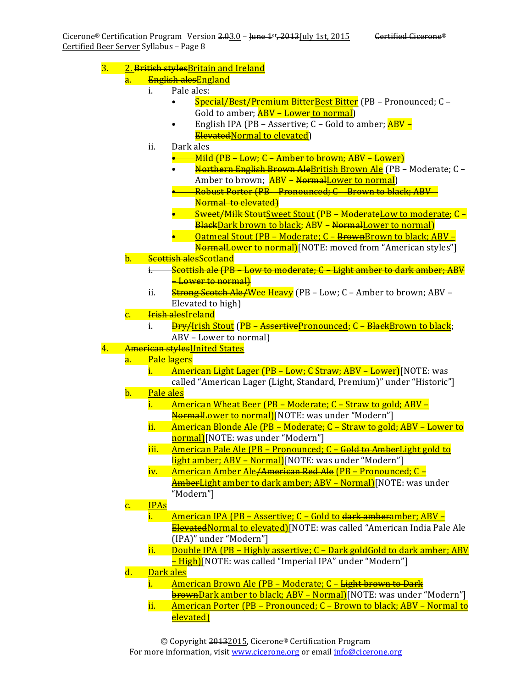3. 2. British styles Britain and Ireland

#### a. <del>English ales</del>England

- i. Pale ales:
	- Special/Best/Premium BitterBest Bitter (PB Pronounced; C Gold to amber; **ABV** – Lower to normal)
	- English IPA (PB Assertive;  $C$  Gold to amber;  $\overline{ABV}$  ElevatedNormal to elevated)
- ii. Dark ales
	- -Mild (PB Low; C Amber to brown; ABV Lower)
	- Northern English Brown AleBritish Brown Ale (PB Moderate; C -Amber to brown; **ABV** – NormalLower to normal)
	- —<del>Robust Porter (PB Pronounced; C Brown to black; ABV –</del> Normal to elevated)
	- S<del>weet/Milk Stout</del>Sweet Stout (PB <del>Moderate</del>Low to moderate; C BlackDark brown to black; ABV - NormalLower to normal)
	- Oatmeal Stout (PB Moderate; C <del>Brown</del>Brown to black; ABV –
- NormalLower to normal)[NOTE: moved from "American styles"] b. Scottish alesScotland
	- i. Scottish ale (PB Low to moderate; C Light amber to dark amber; ABV **-Lower** to normal)
	- ii. Strong Scotch Ale/Wee Heavy (PB Low; C Amber to brown; ABV Elevated to high)
- c. <del>Irish ales</del>Ireland
	- i. <del>Dry/</del>Irish Stout (PB <del>Assertive</del>Pronounced; C <del>Black</del>Brown to black; ABV – Lower to normal)
- 4. American stylesUnited States
	- a. Pale lagers
		- i. American Light Lager (PB Low; C Straw; ABV Lower)[NOTE: was called "American Lager (Light, Standard, Premium)" under "Historic"]
	- b. Pale ales
		- i. American Wheat Beer (PB Moderate; C Straw to gold; ABV NormalLower to normal)[NOTE: was under "Modern"]
		- ii. American Blonde Ale (PB Moderate; C Straw to gold; ABV Lower to normal)[NOTE: was under "Modern"]
		- iii. American Pale Ale (PB Pronounced; C Gold to AmberLight gold to light amber; ABV – Normal)[NOTE: was under "Modern"]
		- iv. American Amber Ale<del>/American Red Ale</del> (PB Pronounced; C AmberLight amber to dark amber; ABV – Normal)[NOTE: was under "Modern"]
	- c. IPAs
		- i. American IPA (PB Assertive;  $C -$  Gold to dark amberamber; ABV ElevatedNormal to elevated)[NOTE: was called "American India Pale Ale (IPA)" under "Modern"]
		- ii. Double IPA (PB Highly assertive;  $C -$  Dark goldGold to dark amber; ABV - High)[NOTE: was called "Imperial IPA" under "Modern"]
	- d. Dark ales
		- i. American Brown Ale (PB Moderate; C Light brown to Dark **brownDark amber to black; ABV – Normal)**[NOTE: was under "Modern"]
		- ii. American Porter (PB Pronounced;  $C$  Brown to black; ABV Normal to elevated)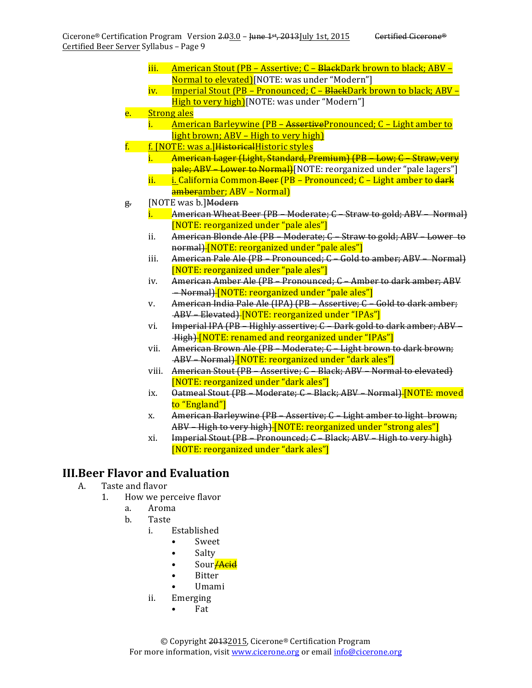- iii. American Stout (PB Assertive;  $C B$ <del>lack</del>Dark brown to black; ABV Normal to elevated)[NOTE: was under "Modern"]
- iv. <u>Imperial Stout (PB Pronounced; C BlackDark brown to black; ABV –</u> High to very high)[NOTE: was under "Modern"]
- e. Strong ales
	- i. American Barleywine (PB AssertivePronounced; C Light amber to light brown;  $ABV - High to very high$
- f. f. [NOTE: was a.] Historical Historic styles
	- i. American Lager (Light, Standard, Premium) (PB Low; C Straw, very pale; ABV – Lower to Normal)[NOTE: reorganized under "pale lagers"]
	- ii. i. California Common Beer (PB Pronounced;  $C$  Light amber to dark amberamber; ABV – Normal)
- g. [NOTE was b.] Modern
	- $i.$  American Wheat Beer (PB Moderate;  $C$  Straw to gold; ABV Normal) [NOTE: reorganized under "pale ales"]
	- ii. American Blonde Ale (PB Moderate; C Straw to gold; ABV Lower to normal) [NOTE: reorganized under "pale ales"]
	- iii. American Pale Ale (PB Pronounced; C Gold to amber; ABV Normal) [NOTE: reorganized under "pale ales"]
	- iv. American Amber Ale (PB Pronounced; C Amber to dark amber; ABV – Normal) [NOTE: reorganized under "pale ales"]
	- v. American India Pale Ale (IPA) (PB Assertive; C Gold to dark amber; ABV Elevated) [NOTE: reorganized under "IPAs"]
	- vi. Imperial IPA (PB Highly assertive; C Dark gold to dark amber; ABV -High) [NOTE: renamed and reorganized under "IPAs"]
	- vii. American Brown Ale (PB Moderate; C Light brown to dark brown; ABV – Normal) [NOTE: reorganized under "dark ales"]
	- viii. American Stout (PB Assertive; C Black; ABV Normal to elevated) [NOTE: reorganized under "dark ales"]
	- ix. Oatmeal Stout (PB Moderate; C Black; ABV Normal) [NOTE: moved to "England"]
	- x. American Barleywine (PB Assertive; C Light amber to light brown; ABV – High to very high) [NOTE: reorganized under "strong ales"]
	- xi. Imperial Stout  $(PB Pronounced; C Black; ABV High to very high)$ [NOTE: reorganized under "dark ales"]

## **III.Beer Flavor and Evaluation**

- A. Taste and flavor
	- 1. How we perceive flavor
		- a. Aroma
		- b. Taste
			- i. Established
				- Sweet
				- Salty
				- Sour<del>/Acid</del>
				- **Bitter**
				- Umami
			- ii. Emerging
				- Fat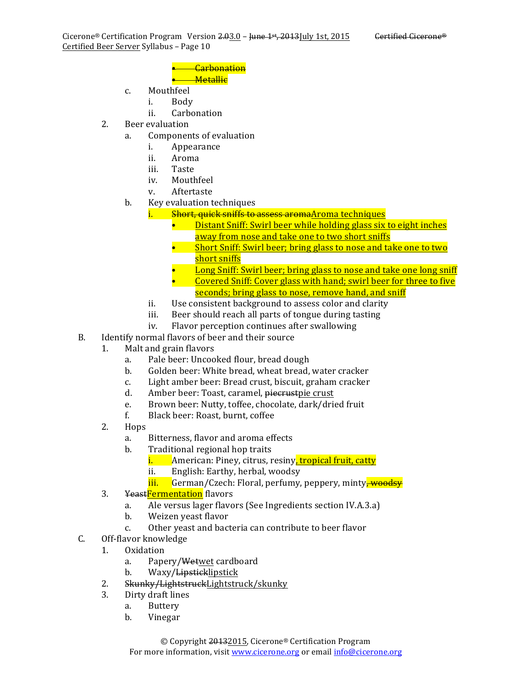#### • Carbonation • Metallic

- c. Mouthfeel
	- i. Body
	- ii. Carbonation
- 2. Beer evaluation
	- a. Components of evaluation
		- i. Appearance
		- ii. Aroma
		- iii. Taste
		- iv. Mouthfeel
		- v. Aftertaste
	- b. Key evaluation techniques
		- i. Short, quick sniffs to assess aromaAroma techniques
			- Distant Sniff: Swirl beer while holding glass six to eight inches away from nose and take one to two short sniffs
			- Short Sniff: Swirl beer; bring glass to nose and take one to two short sniffs
			- Long Sniff: Swirl beer; bring glass to nose and take one long sniff
			- Covered Sniff: Cover glass with hand; swirl beer for three to five seconds; bring glass to nose, remove hand, and sniff
		- ii. Use consistent background to assess color and clarity
		- iii. Beer should reach all parts of tongue during tasting
		- iv. Flavor perception continues after swallowing
- B. Identify normal flavors of beer and their source
	- 1. Malt and grain flavors
		- a. Pale beer: Uncooked flour, bread dough
		- b. Golden beer: White bread, wheat bread, water cracker
		- c. Light amber beer: Bread crust, biscuit, graham cracker
		- d. Amber beer: Toast, caramel, piecrustpie crust
		- e. Brown beer: Nutty, toffee, chocolate, dark/dried fruit
		- f. Black beer: Roast, burnt, coffee
	- 2. Hops
		- a. Bitterness, flavor and aroma effects
		- b. Traditional regional hop traits
			- i. American: Piney, citrus, resiny, tropical fruit, catty
			- ii. English: Earthy, herbal, woodsy
			- iii. German/Czech: Floral, perfumy, peppery, minty<del>, woodsy</del>
	- 3. YeastFermentation flavors
		- a. Ale versus lager flavors (See Ingredients section IV.A.3.a)
		- b. Weizen yeast flavor
		- c. Other yeast and bacteria can contribute to beer flavor
- C. Off-flavor knowledge
	- 1. Oxidation
		- a. Papery/Wetwet cardboard
		- b. Waxy/Lipsticklipstick
	- 2. Skunky/LightstruckLightstruck/skunky
	- 3. Dirty draft lines
		- a. Buttery
		- b. Vinegar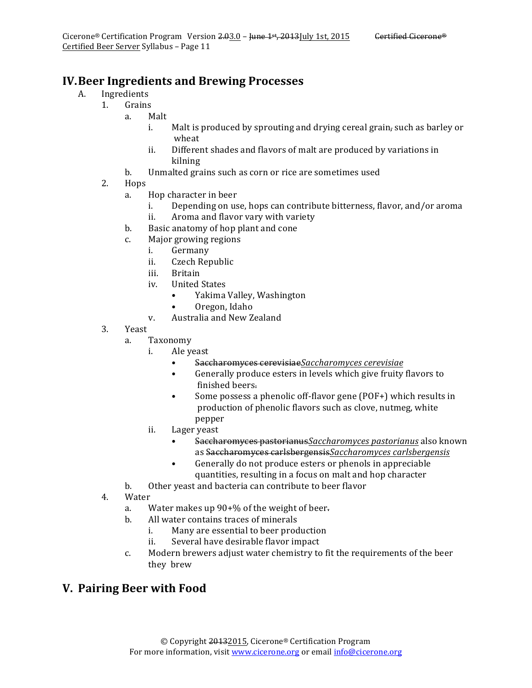- A. Ingredients
	- 1. Grains
		- a. Malt
			- i. Malt is produced by sprouting and drying cereal grain, such as barley or wheat
			- ii. Different shades and flavors of malt are produced by variations in kilning
		- b. Unmalted grains such as corn or rice are sometimes used
		- 2. Hops
			- a. Hop character in beer
				- i. Depending on use, hops can contribute bitterness, flavor, and/or aroma ii. Aroma and flavor vary with variety
			- b. Basic anatomy of hop plant and cone
			- c. Major growing regions
				- i. Germany
				- ii. Czech Republic
				- iii. Britain
				- iv. United States
					- Yakima Valley, Washington
					- Oregon, Idaho
				- v. Australia and New Zealand
		- 3. Yeast
			- a. Taxonomy
				- i. Ale yeast
					- Saccharomyces cerevisiaeSaccharomyces cerevisiae
					- Generally produce esters in levels which give fruity flavors to finished beers.
					- Some possess a phenolic off-flavor gene (POF+) which results in production of phenolic flavors such as clove, nutmeg, white pepper
				- ii. Lager yeast
					- Saccharomyces pastorianus Saccharomyces pastorianus also known as Saccharomyces carlsbergensis*Saccharomyces carlsbergensis*
					- Generally do not produce esters or phenols in appreciable quantities, resulting in a focus on malt and hop character
			- b. Other yeast and bacteria can contribute to beer flavor
		- 4. Water
			- a. Water makes up  $90+%$  of the weight of beer.
			- b. All water contains traces of minerals
				- i. Many are essential to beer production
				- ii. Several have desirable flavor impact
			- c. Modern brewers adjust water chemistry to fit the requirements of the beer they brew

## **V. Pairing Beer with Food**